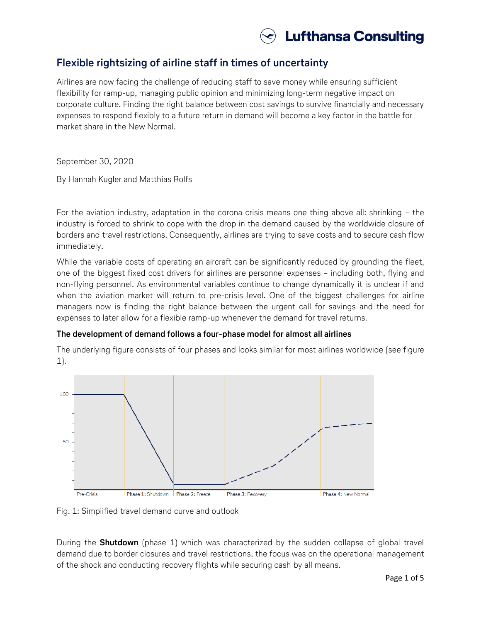

# **Flexible rightsizing of airline staff in times of uncertainty**

Airlines are now facing the challenge of reducing staff to save money while ensuring sufficient flexibility for ramp-up, managing public opinion and minimizing long-term negative impact on corporate culture. Finding the right balance between cost savings to survive financially and necessary expenses to respond flexibly to a future return in demand will become a key factor in the battle for market share in the New Normal.

September 30, 2020

By Hannah Kugler and Matthias Rolfs

For the aviation industry, adaptation in the corona crisis means one thing above all: shrinking – the industry is forced to shrink to cope with the drop in the demand caused by the worldwide closure of borders and travel restrictions. Consequently, airlines are trying to save costs and to secure cash flow immediately.

While the variable costs of operating an aircraft can be significantly reduced by grounding the fleet, one of the biggest fixed cost drivers for airlines are personnel expenses – including both, flying and non-flying personnel. As environmental variables continue to change dynamically it is unclear if and when the aviation market will return to pre-crisis level. One of the biggest challenges for airline managers now is finding the right balance between the urgent call for savings and the need for expenses to later allow for a flexible ramp-up whenever the demand for travel returns.

### **The development of demand follows a four-phase model for almost all airlines**

The underlying figure consists of four phases and looks similar for most airlines worldwide (see figure 1).



Fig. 1: Simplified travel demand curve and outlook

During the **Shutdown** (phase 1) which was characterized by the sudden collapse of global travel demand due to border closures and travel restrictions, the focus was on the operational management of the shock and conducting recovery flights while securing cash by all means.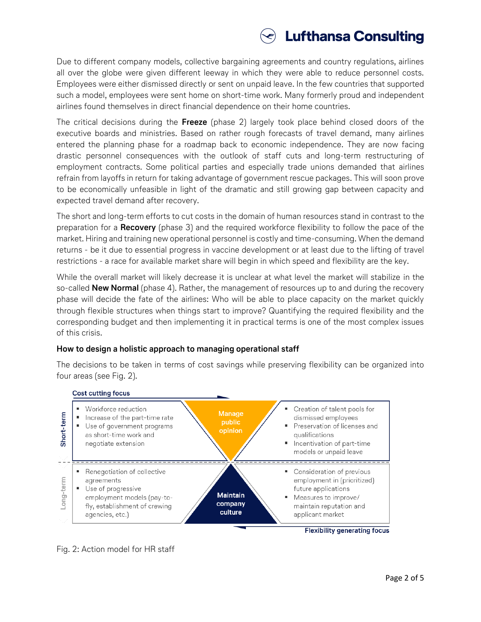

Due to different company models, collective bargaining agreements and country regulations, airlines all over the globe were given different leeway in which they were able to reduce personnel costs. Employees were either dismissed directly or sent on unpaid leave. In the few countries that supported such a model, employees were sent home on short-time work. Many formerly proud and independent airlines found themselves in direct financial dependence on their home countries.

The critical decisions during the **Freeze** (phase 2) largely took place behind closed doors of the executive boards and ministries. Based on rather rough forecasts of travel demand, many airlines entered the planning phase for a roadmap back to economic independence. They are now facing drastic personnel consequences with the outlook of staff cuts and long-term restructuring of employment contracts. Some political parties and especially trade unions demanded that airlines refrain from layoffs in return for taking advantage of government rescue packages. This will soon prove to be economically unfeasible in light of the dramatic and still growing gap between capacity and expected travel demand after recovery.

The short and long-term efforts to cut costs in the domain of human resources stand in contrast to the preparation for a **Recovery** (phase 3) and the required workforce flexibility to follow the pace of the market. Hiring and training new operational personnel is costly and time-consuming. When the demand returns - be it due to essential progress in vaccine development or at least due to the lifting of travel restrictions - a race for available market share will begin in which speed and flexibility are the key.

While the overall market will likely decrease it is unclear at what level the market will stabilize in the so-called **New Normal** (phase 4). Rather, the management of resources up to and during the recovery phase will decide the fate of the airlines: Who will be able to place capacity on the market quickly through flexible structures when things start to improve? Quantifying the required flexibility and the corresponding budget and then implementing it in practical terms is one of the most complex issues of this crisis.

### **How to design a holistic approach to managing operational staff**

The decisions to be taken in terms of cost savings while preserving flexibility can be organized into four areas (see Fig. 2).

#### **Cost cutting focus**



Fig. 2: Action model for HR staff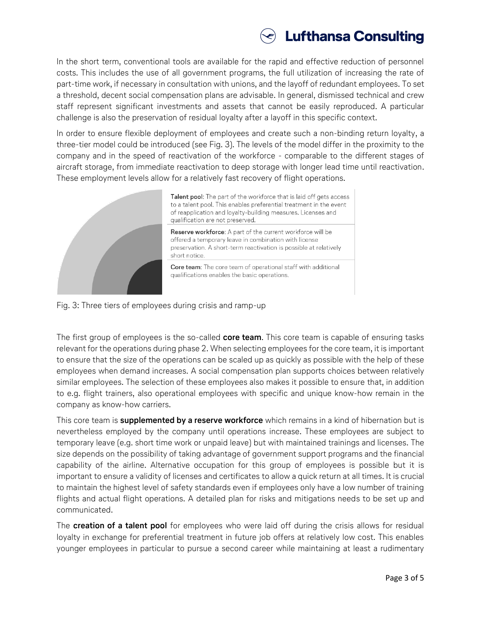

In the short term, conventional tools are available for the rapid and effective reduction of personnel costs. This includes the use of all government programs, the full utilization of increasing the rate of part-time work, if necessary in consultation with unions, and the layoff of redundant employees. To set a threshold, decent social compensation plans are advisable. In general, dismissed technical and crew staff represent significant investments and assets that cannot be easily reproduced. A particular challenge is also the preservation of residual loyalty after a layoff in this specific context.

In order to ensure flexible deployment of employees and create such a non-binding return loyalty, a three-tier model could be introduced (see Fig. 3). The levels of the model differ in the proximity to the company and in the speed of reactivation of the workforce - comparable to the different stages of aircraft storage, from immediate reactivation to deep storage with longer lead time until reactivation. These employment levels allow for a relatively fast recovery of flight operations.



Talent pool: The part of the workforce that is laid off gets access to a talent pool. This enables preferential treatment in the event of reapplication and loyalty-building measures. Licenses and qualification are not preserved.

Reserve workforce: A part of the current workforce will be offered a temporary leave in combination with license preservation. A short-term reactivation is possible at relatively short notice.

Core team: The core team of operational staff with additional qualifications enables the basic operations.



The first group of employees is the so-called **core team**. This core team is capable of ensuring tasks relevant for the operations during phase 2. When selecting employees for the core team, it is important to ensure that the size of the operations can be scaled up as quickly as possible with the help of these employees when demand increases. A social compensation plan supports choices between relatively similar employees. The selection of these employees also makes it possible to ensure that, in addition to e.g. flight trainers, also operational employees with specific and unique know-how remain in the company as know-how carriers.

This core team is **supplemented by a reserve workforce** which remains in a kind of hibernation but is nevertheless employed by the company until operations increase. These employees are subject to temporary leave (e.g. short time work or unpaid leave) but with maintained trainings and licenses. The size depends on the possibility of taking advantage of government support programs and the financial capability of the airline. Alternative occupation for this group of employees is possible but it is important to ensure a validity of licenses and certificates to allow a quick return at all times. It is crucial to maintain the highest level of safety standards even if employees only have a low number of training flights and actual flight operations. A detailed plan for risks and mitigations needs to be set up and communicated.

The **creation of a talent pool** for employees who were laid off during the crisis allows for residual loyalty in exchange for preferential treatment in future job offers at relatively low cost. This enables younger employees in particular to pursue a second career while maintaining at least a rudimentary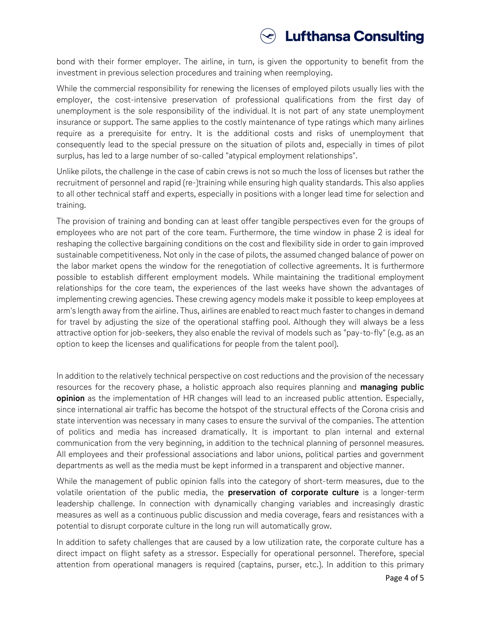

bond with their former employer. The airline, in turn, is given the opportunity to benefit from the investment in previous selection procedures and training when reemploying.

While the commercial responsibility for renewing the licenses of employed pilots usually lies with the employer, the cost-intensive preservation of professional qualifications from the first day of unemployment is the sole responsibility of the individual. It is not part of any state unemployment insurance or support. The same applies to the costly maintenance of type ratings which many airlines require as a prerequisite for entry. It is the additional costs and risks of unemployment that consequently lead to the special pressure on the situation of pilots and, especially in times of pilot surplus, has led to a large number of so-called "atypical employment relationships".

Unlike pilots, the challenge in the case of cabin crews is not so much the loss of licenses but rather the recruitment of personnel and rapid (re-)training while ensuring high quality standards. This also applies to all other technical staff and experts, especially in positions with a longer lead time for selection and training.

The provision of training and bonding can at least offer tangible perspectives even for the groups of employees who are not part of the core team. Furthermore, the time window in phase 2 is ideal for reshaping the collective bargaining conditions on the cost and flexibility side in order to gain improved sustainable competitiveness. Not only in the case of pilots, the assumed changed balance of power on the labor market opens the window for the renegotiation of collective agreements. It is furthermore possible to establish different employment models. While maintaining the traditional employment relationships for the core team, the experiences of the last weeks have shown the advantages of implementing crewing agencies. These crewing agency models make it possible to keep employees at arm's length away from the airline. Thus, airlines are enabled to react much faster to changes in demand for travel by adjusting the size of the operational staffing pool. Although they will always be a less attractive option for job-seekers, they also enable the revival of models such as "pay-to-fly" (e.g. as an option to keep the licenses and qualifications for people from the talent pool).

In addition to the relatively technical perspective on cost reductions and the provision of the necessary resources for the recovery phase, a holistic approach also requires planning and **managing public opinion** as the implementation of HR changes will lead to an increased public attention. Especially, since international air traffic has become the hotspot of the structural effects of the Corona crisis and state intervention was necessary in many cases to ensure the survival of the companies. The attention of politics and media has increased dramatically. It is important to plan internal and external communication from the very beginning, in addition to the technical planning of personnel measures. All employees and their professional associations and labor unions, political parties and government departments as well as the media must be kept informed in a transparent and objective manner.

While the management of public opinion falls into the category of short-term measures, due to the volatile orientation of the public media, the **preservation of corporate culture** is a longer-term leadership challenge. In connection with dynamically changing variables and increasingly drastic measures as well as a continuous public discussion and media coverage, fears and resistances with a potential to disrupt corporate culture in the long run will automatically grow.

In addition to safety challenges that are caused by a low utilization rate, the corporate culture has a direct impact on flight safety as a stressor. Especially for operational personnel. Therefore, special attention from operational managers is required (captains, purser, etc.). In addition to this primary